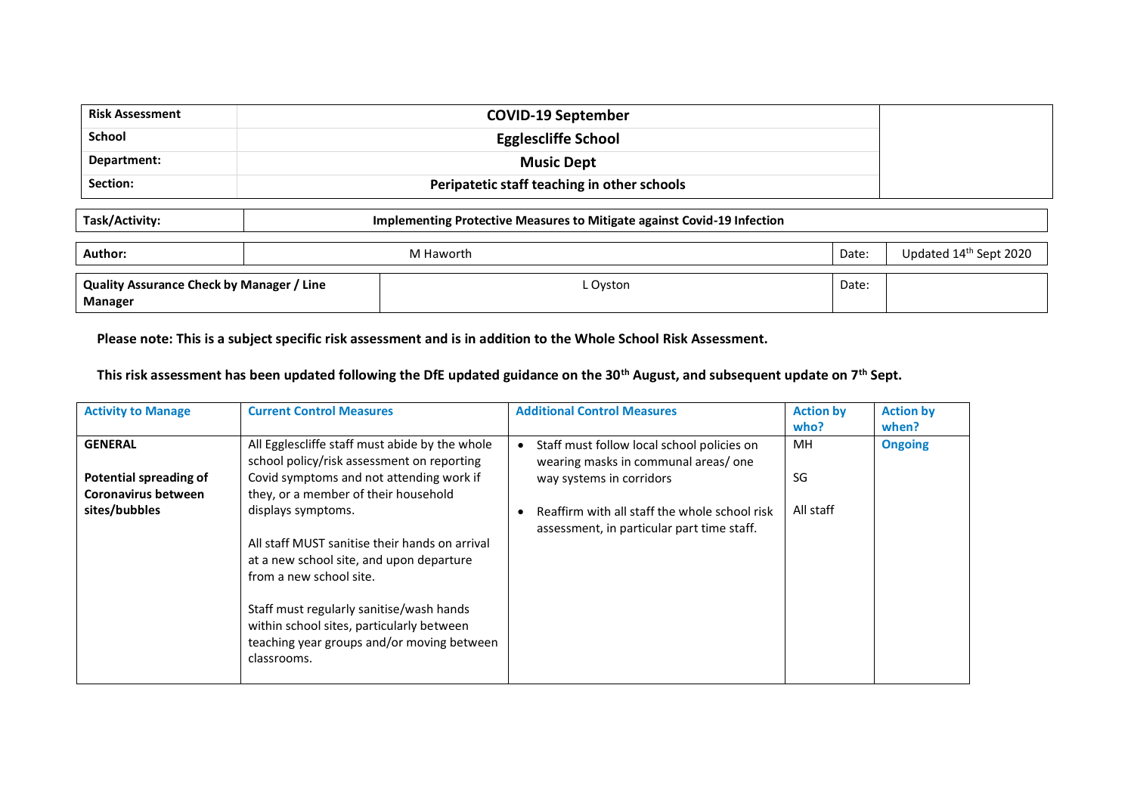| <b>Risk Assessment</b>                                                                    |                            | <b>COVID-19 September</b>                   |       |                        |  |  |
|-------------------------------------------------------------------------------------------|----------------------------|---------------------------------------------|-------|------------------------|--|--|
| <b>School</b>                                                                             | <b>Egglescliffe School</b> |                                             |       |                        |  |  |
| Department:                                                                               | <b>Music Dept</b>          |                                             |       |                        |  |  |
| Section:                                                                                  |                            | Peripatetic staff teaching in other schools |       |                        |  |  |
| Task/Activity:<br>Implementing Protective Measures to Mitigate against Covid-19 Infection |                            |                                             |       |                        |  |  |
| Author:                                                                                   |                            | M Haworth                                   | Date: | Updated 14th Sept 2020 |  |  |
| Quality Assurance Check by Manager / Line<br>Manager                                      |                            | L Oyston                                    | Date: |                        |  |  |

**Please note: This is a subject specific risk assessment and is in addition to the Whole School Risk Assessment.**

**This risk assessment has been updated following the DfE updated guidance on the 30th August, and subsequent update on 7th Sept.**

| <b>Activity to Manage</b>                            | <b>Current Control Measures</b>                                                                                                                    | <b>Additional Control Measures</b>                                                          | <b>Action by</b><br>who? | <b>Action by</b><br>when? |
|------------------------------------------------------|----------------------------------------------------------------------------------------------------------------------------------------------------|---------------------------------------------------------------------------------------------|--------------------------|---------------------------|
| <b>GENERAL</b>                                       | All Egglescliffe staff must abide by the whole<br>school policy/risk assessment on reporting                                                       | Staff must follow local school policies on<br>wearing masks in communal areas/one           | MH.                      | <b>Ongoing</b>            |
| <b>Potential spreading of</b><br>Coronavirus between | Covid symptoms and not attending work if<br>they, or a member of their household                                                                   | way systems in corridors                                                                    | SG                       |                           |
| sites/bubbles                                        | displays symptoms.<br>All staff MUST sanitise their hands on arrival<br>at a new school site, and upon departure<br>from a new school site.        | Reaffirm with all staff the whole school risk<br>assessment, in particular part time staff. | All staff                |                           |
|                                                      | Staff must regularly sanitise/wash hands<br>within school sites, particularly between<br>teaching year groups and/or moving between<br>classrooms. |                                                                                             |                          |                           |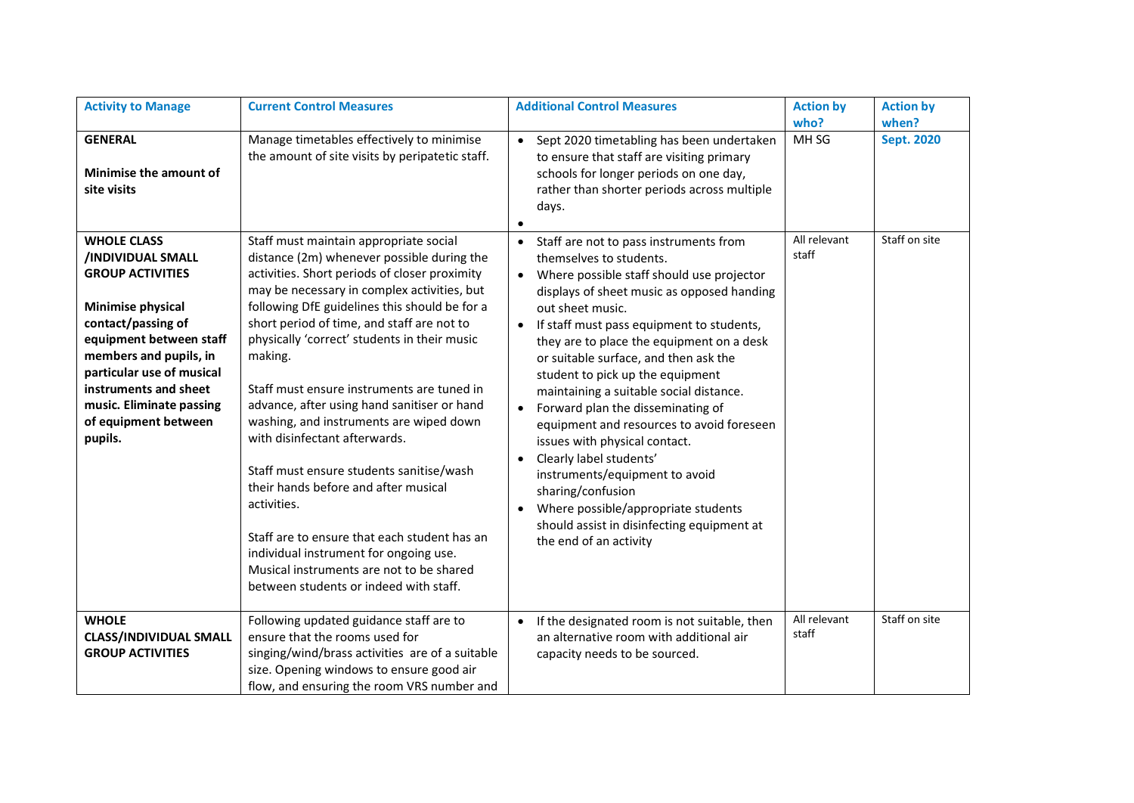| <b>Activity to Manage</b>                                                                                                                                                                                                                                                               | <b>Current Control Measures</b>                                                                                                                                                                                                                                                                                                                                                                                                                                                                                                                                                                                                                                                                                                                                                                            | <b>Additional Control Measures</b>                                                                                                                                                                                                                                                                                                                                                                                                                                                                                                                                                                                                                                                                                                                                                                   | <b>Action by</b><br>who? | <b>Action by</b><br>when? |
|-----------------------------------------------------------------------------------------------------------------------------------------------------------------------------------------------------------------------------------------------------------------------------------------|------------------------------------------------------------------------------------------------------------------------------------------------------------------------------------------------------------------------------------------------------------------------------------------------------------------------------------------------------------------------------------------------------------------------------------------------------------------------------------------------------------------------------------------------------------------------------------------------------------------------------------------------------------------------------------------------------------------------------------------------------------------------------------------------------------|------------------------------------------------------------------------------------------------------------------------------------------------------------------------------------------------------------------------------------------------------------------------------------------------------------------------------------------------------------------------------------------------------------------------------------------------------------------------------------------------------------------------------------------------------------------------------------------------------------------------------------------------------------------------------------------------------------------------------------------------------------------------------------------------------|--------------------------|---------------------------|
| <b>GENERAL</b><br>Minimise the amount of<br>site visits                                                                                                                                                                                                                                 | Manage timetables effectively to minimise<br>the amount of site visits by peripatetic staff.                                                                                                                                                                                                                                                                                                                                                                                                                                                                                                                                                                                                                                                                                                               | Sept 2020 timetabling has been undertaken<br>$\bullet$<br>to ensure that staff are visiting primary<br>schools for longer periods on one day,<br>rather than shorter periods across multiple<br>days.                                                                                                                                                                                                                                                                                                                                                                                                                                                                                                                                                                                                | MH <sub>SG</sub>         | <b>Sept. 2020</b>         |
| <b>WHOLE CLASS</b><br>/INDIVIDUAL SMALL<br><b>GROUP ACTIVITIES</b><br>Minimise physical<br>contact/passing of<br>equipment between staff<br>members and pupils, in<br>particular use of musical<br>instruments and sheet<br>music. Eliminate passing<br>of equipment between<br>pupils. | Staff must maintain appropriate social<br>distance (2m) whenever possible during the<br>activities. Short periods of closer proximity<br>may be necessary in complex activities, but<br>following DfE guidelines this should be for a<br>short period of time, and staff are not to<br>physically 'correct' students in their music<br>making.<br>Staff must ensure instruments are tuned in<br>advance, after using hand sanitiser or hand<br>washing, and instruments are wiped down<br>with disinfectant afterwards.<br>Staff must ensure students sanitise/wash<br>their hands before and after musical<br>activities.<br>Staff are to ensure that each student has an<br>individual instrument for ongoing use.<br>Musical instruments are not to be shared<br>between students or indeed with staff. | Staff are not to pass instruments from<br>$\bullet$<br>themselves to students.<br>Where possible staff should use projector<br>$\bullet$<br>displays of sheet music as opposed handing<br>out sheet music.<br>If staff must pass equipment to students,<br>$\bullet$<br>they are to place the equipment on a desk<br>or suitable surface, and then ask the<br>student to pick up the equipment<br>maintaining a suitable social distance.<br>Forward plan the disseminating of<br>$\bullet$<br>equipment and resources to avoid foreseen<br>issues with physical contact.<br>Clearly label students'<br>$\bullet$<br>instruments/equipment to avoid<br>sharing/confusion<br>Where possible/appropriate students<br>$\bullet$<br>should assist in disinfecting equipment at<br>the end of an activity | All relevant<br>staff    | Staff on site             |
| <b>WHOLE</b><br><b>CLASS/INDIVIDUAL SMALL</b><br><b>GROUP ACTIVITIES</b>                                                                                                                                                                                                                | Following updated guidance staff are to<br>ensure that the rooms used for<br>singing/wind/brass activities are of a suitable<br>size. Opening windows to ensure good air<br>flow, and ensuring the room VRS number and                                                                                                                                                                                                                                                                                                                                                                                                                                                                                                                                                                                     | If the designated room is not suitable, then<br>$\bullet$<br>an alternative room with additional air<br>capacity needs to be sourced.                                                                                                                                                                                                                                                                                                                                                                                                                                                                                                                                                                                                                                                                | All relevant<br>staff    | Staff on site             |